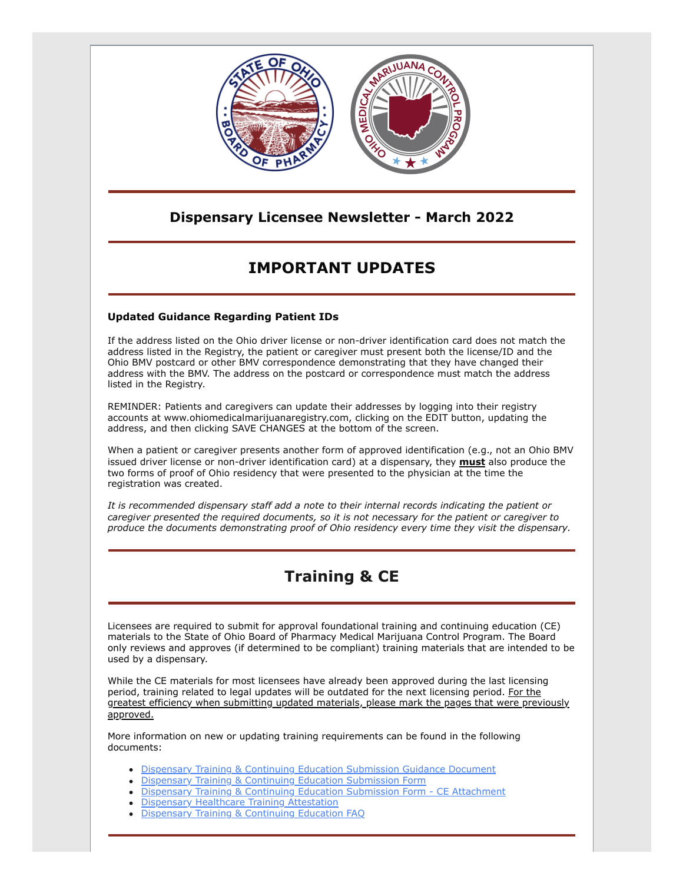

### **Dispensary Licensee Newsletter - March 2022**

# **IMPORTANT UPDATES**

#### **Updated Guidance Regarding Patient IDs**

If the address listed on the Ohio driver license or non-driver identification card does not match the address listed in the Registry, the patient or caregiver must present both the license/ID and the Ohio BMV postcard or other BMV correspondence demonstrating that they have changed their address with the BMV. The address on the postcard or correspondence must match the address listed in the Registry.

REMINDER: Patients and caregivers can update their addresses by logging into their registry accounts at www.ohiomedicalmarijuanaregistry.com, clicking on the EDIT button, updating the address, and then clicking SAVE CHANGES at the bottom of the screen.

When a patient or caregiver presents another form of approved identification (e.g., not an Ohio BMV issued driver license or non-driver identification card) at a dispensary, they **must** also produce the two forms of proof of Ohio residency that were presented to the physician at the time the registration was created.

*It is recommended dispensary staff add a note to their internal records indicating the patient or caregiver presented the required documents, so it is not necessary for the patient or caregiver to produce the documents demonstrating proof of Ohio residency every time they visit the dispensary.*

## **Training & CE**

Licensees are required to submit for approval foundational training and continuing education (CE) materials to the State of Ohio Board of Pharmacy Medical Marijuana Control Program. The Board only reviews and approves (if determined to be compliant) training materials that are intended to be used by a dispensary.

While the CE materials for most licensees have already been approved during the last licensing period, training related to legal updates will be outdated for the next licensing period. For the greatest efficiency when submitting updated materials, please mark the pages that were previously approved.

More information on new or updating training requirements can be found in the following documents:

- **[Dispensary Training & Continuing Education Submission Guidance Document](https://gcc02.safelinks.protection.outlook.com/?url=https%3A%2F%2Fwww.medicalmarijuana.ohio.gov%2FDocuments%2FLicenseeResources%2FDispensary%2520Licensee%2520Resources%2FDISPENSARY%2520EMPLOYEE%2520TRAINING%2520%26%2520CONTINUING%2520EDUCATION%2FDispensary%2520Training%2520%26%2520Continuing%2520Education%2520Submission%2520Guidance%2520Document.pdf&data=04%7C01%7Cashley.hood%40pharmacy.ohio.gov%7C26ffe88d248f40b9027c08da069cd755%7C50f8fcc494d84f0784eb36ed57c7c8a2%7C0%7C0%7C637829567933274507%7CUnknown%7CTWFpbGZsb3d8eyJWIjoiMC4wLjAwMDAiLCJQIjoiV2luMzIiLCJBTiI6Ik1haWwiLCJXVCI6Mn0%3D%7C3000&sdata=NPPLD9VDyKwpyaLOgEpYWhcDKGwI0YlfzYX5ohwoceU%3D&reserved=0)**
- **[Dispensary Training & Continuing Education Submission Form](https://gcc02.safelinks.protection.outlook.com/?url=https%3A%2F%2Fwww.medicalmarijuana.ohio.gov%2FDocuments%2FLicenseeResources%2FDispensary%2520Licensee%2520Resources%2FDISPENSARY%2520EMPLOYEE%2520TRAINING%2520%26%2520CONTINUING%2520EDUCATION%2FDispensary%2520Training%2520%26%2520Continuing%2520Education%2520Submission%2520Form.pdf&data=04%7C01%7Cashley.hood%40pharmacy.ohio.gov%7C26ffe88d248f40b9027c08da069cd755%7C50f8fcc494d84f0784eb36ed57c7c8a2%7C0%7C0%7C637829567933430737%7CUnknown%7CTWFpbGZsb3d8eyJWIjoiMC4wLjAwMDAiLCJQIjoiV2luMzIiLCJBTiI6Ik1haWwiLCJXVCI6Mn0%3D%7C3000&sdata=xeaendis4eEdxI%2FBe8IeRAsRYcv9LrOeWMui7Y%2F9Lj8%3D&reserved=0)**
- **[Dispensary Training & Continuing Education Submission Form CE Attachment](https://gcc02.safelinks.protection.outlook.com/?url=https%3A%2F%2Fwww.medicalmarijuana.ohio.gov%2FDocuments%2FLicenseeResources%2FDispensary%2520Licensee%2520Resources%2FDISPENSARY%2520EMPLOYEE%2520TRAINING%2520%26%2520CONTINUING%2520EDUCATION%2FDispensary%2520Training%2520%26%2520Continuing%2520Education%2520Submission%2520Form%2520-%2520CE%2520Attachment.pdf&data=04%7C01%7Cashley.hood%40pharmacy.ohio.gov%7C26ffe88d248f40b9027c08da069cd755%7C50f8fcc494d84f0784eb36ed57c7c8a2%7C0%7C0%7C637829567933430737%7CUnknown%7CTWFpbGZsb3d8eyJWIjoiMC4wLjAwMDAiLCJQIjoiV2luMzIiLCJBTiI6Ik1haWwiLCJXVCI6Mn0%3D%7C3000&sdata=B1w4uy5gAC0gpXx3FKL4VvTV6B89msaEZi94KY00Fho%3D&reserved=0)**
- **[Dispensary Healthcare Training Attestation](https://gcc02.safelinks.protection.outlook.com/?url=https%3A%2F%2Fwww.medicalmarijuana.ohio.gov%2FDocuments%2FLicenseeResources%2FDispensary%2520Licensee%2520Resources%2FDISPENSARY%2520EMPLOYEE%2520TRAINING%2520%26%2520CONTINUING%2520EDUCATION%2FDispensary%2520Healthcare%2520Training%2520Attestation.pdf&data=04%7C01%7Cashley.hood%40pharmacy.ohio.gov%7C26ffe88d248f40b9027c08da069cd755%7C50f8fcc494d84f0784eb36ed57c7c8a2%7C0%7C0%7C637829567933430737%7CUnknown%7CTWFpbGZsb3d8eyJWIjoiMC4wLjAwMDAiLCJQIjoiV2luMzIiLCJBTiI6Ik1haWwiLCJXVCI6Mn0%3D%7C3000&sdata=80WntkZvWkJhmreUHqXURHhx7cx76WGy0QknvWGz8z4%3D&reserved=0)**
- **[Dispensary Training & Continuing Education FAQ](https://gcc02.safelinks.protection.outlook.com/?url=https%3A%2F%2Fwww.medicalmarijuana.ohio.gov%2FDocuments%2FLicenseeResources%2FDispensary%2520Licensee%2520Resources%2FDISPENSARY%2520EMPLOYEE%2520TRAINING%2520%26%2520CONTINUING%2520EDUCATION%2FDispensary%2520Training%2520%26%2520Continuing%2520Education%2520FAQ.pdf&data=04%7C01%7Cashley.hood%40pharmacy.ohio.gov%7C26ffe88d248f40b9027c08da069cd755%7C50f8fcc494d84f0784eb36ed57c7c8a2%7C0%7C0%7C637829567933430737%7CUnknown%7CTWFpbGZsb3d8eyJWIjoiMC4wLjAwMDAiLCJQIjoiV2luMzIiLCJBTiI6Ik1haWwiLCJXVCI6Mn0%3D%7C3000&sdata=xX6Hwc8jZdTw%2F%2FmTVgxO24b%2BUN8fNVj6p00%2BrjTOcm8%3D&reserved=0)**